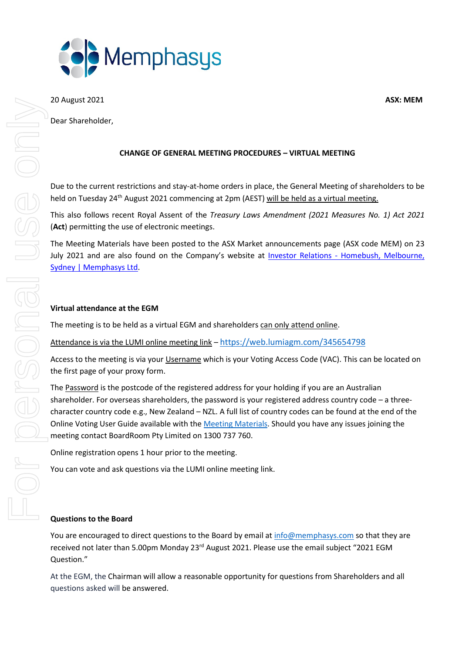

20 August 2021 **ASX: MEM**

Dear Shareholder,

## **CHANGE OF GENERAL MEETING PROCEDURES – VIRTUAL MEETING**

Due to the current restrictions and stay-at-home orders in place, the General Meeting of shareholders to be held on Tuesday 24<sup>th</sup> August 2021 commencing at 2pm (AEST) will be held as a virtual meeting.

This also follows recent Royal Assent of the *Treasury Laws Amendment (2021 Measures No. 1) Act 2021*  (**Act**) permitting the use of electronic meetings.

The Meeting Materials have been posted to the ASX Market announcements page (ASX code MEM) on 23 July 2021 and are also found on the Company's website at Investor Relations - [Homebush, Melbourne,](http://www.memphasys.com.au/investor-relations.php)  [Sydney | Memphasys Ltd.](http://www.memphasys.com.au/investor-relations.php)

## **Virtual attendance at the EGM**

The meeting is to be held as a virtual EGM and shareholders can only attend online.

Attendance is via the LUMI online meeting link – <https://web.lumiagm.com/345654798>

Access to the meeting is via your Username which is your Voting Access Code (VAC). This can be located on the first page of your proxy form.

The Password is the postcode of the registered address for your holding if you are an Australian shareholder. For overseas shareholders, the password is your registered address country code – a threecharacter country code e.g., New Zealand – NZL. A full list of country codes can be found at the end of the Online Voting User Guide available with th[e Meeting Materials.](http://www.memphasys.com.au/investor-relations.php) Should you have any issues joining the meeting contact BoardRoom Pty Limited on 1300 737 760.

Online registration opens 1 hour prior to the meeting.

You can vote and ask questions via the LUMI online meeting link.

## **Questions to the Board**

You are encouraged to direct questions to the Board by email at [info@memphasys.com](mailto:info@memphasys.com) so that they are received not later than 5.00pm Monday 23rd August 2021. Please use the email subject "2021 EGM Question."

At the EGM, the Chairman will allow a reasonable opportunity for questions from Shareholders and all questions asked will be answered.